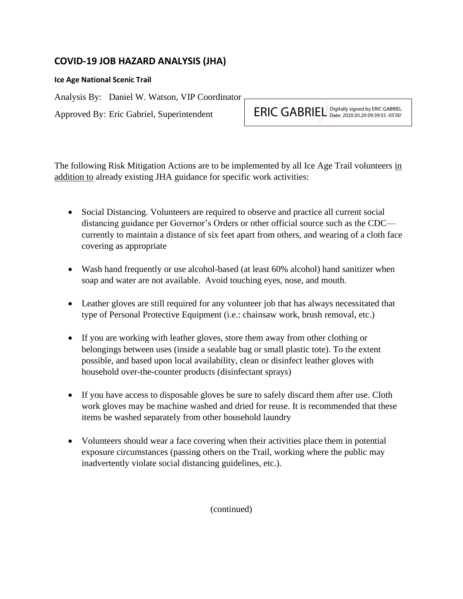## **COVID-19 JOB HAZARD ANALYSIS (JHA)**

## **Ice Age National Scenic Trail**

Analysis By: Daniel W. Watson, VIP Coordinator

Approved By: Eric Gabriel, Superintendent

ERIC GABRIEL Digitally signed by ERIC GABRIEL Date: 2020.05.20 09:39:55 -05'00'

The following Risk Mitigation Actions are to be implemented by all Ice Age Trail volunteers in addition to already existing JHA guidance for specific work activities:

- Social Distancing. Volunteers are required to observe and practice all current social distancing guidance per Governor's Orders or other official source such as the CDC currently to maintain a distance of six feet apart from others, and wearing of a cloth face covering as appropriate
- Wash hand frequently or use alcohol-based (at least 60% alcohol) hand sanitizer when soap and water are not available. Avoid touching eyes, nose, and mouth.
- Leather gloves are still required for any volunteer job that has always necessitated that type of Personal Protective Equipment (i.e.: chainsaw work, brush removal, etc.)
- If you are working with leather gloves, store them away from other clothing or belongings between uses (inside a sealable bag or small plastic tote). To the extent possible, and based upon local availability, clean or disinfect leather gloves with household over-the-counter products (disinfectant sprays)
- If you have access to disposable gloves be sure to safely discard them after use. Cloth work gloves may be machine washed and dried for reuse. It is recommended that these items be washed separately from other household laundry
- Volunteers should wear a face covering when their activities place them in potential exposure circumstances (passing others on the Trail, working where the public may inadvertently violate social distancing guidelines, etc.).

(continued)